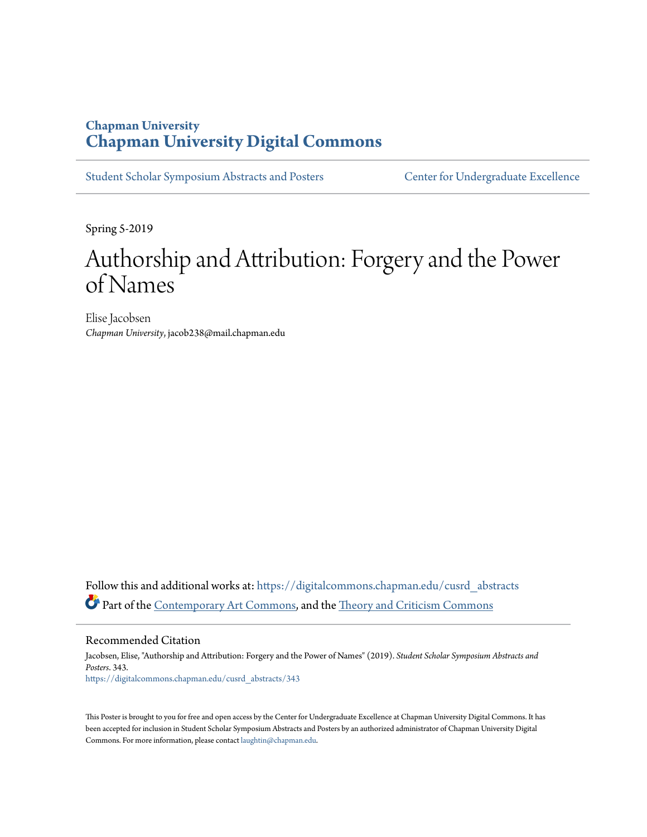#### **Chapman University [Chapman University Digital Commons](https://digitalcommons.chapman.edu?utm_source=digitalcommons.chapman.edu%2Fcusrd_abstracts%2F343&utm_medium=PDF&utm_campaign=PDFCoverPages)**

[Student Scholar Symposium Abstracts and Posters](https://digitalcommons.chapman.edu/cusrd_abstracts?utm_source=digitalcommons.chapman.edu%2Fcusrd_abstracts%2F343&utm_medium=PDF&utm_campaign=PDFCoverPages) [Center for Undergraduate Excellence](https://digitalcommons.chapman.edu/cue?utm_source=digitalcommons.chapman.edu%2Fcusrd_abstracts%2F343&utm_medium=PDF&utm_campaign=PDFCoverPages)

Spring 5-2019

#### Authorship and Attribution: Forgery and the Power of Names

Elise Jacobsen *Chapman University*, jacob238@mail.chapman.edu

Follow this and additional works at: [https://digitalcommons.chapman.edu/cusrd\\_abstracts](https://digitalcommons.chapman.edu/cusrd_abstracts?utm_source=digitalcommons.chapman.edu%2Fcusrd_abstracts%2F343&utm_medium=PDF&utm_campaign=PDFCoverPages) Part of the [Contemporary Art Commons](http://network.bepress.com/hgg/discipline/514?utm_source=digitalcommons.chapman.edu%2Fcusrd_abstracts%2F343&utm_medium=PDF&utm_campaign=PDFCoverPages), and the [Theory and Criticism Commons](http://network.bepress.com/hgg/discipline/516?utm_source=digitalcommons.chapman.edu%2Fcusrd_abstracts%2F343&utm_medium=PDF&utm_campaign=PDFCoverPages)

Recommended Citation

Jacobsen, Elise, "Authorship and Attribution: Forgery and the Power of Names" (2019). *Student Scholar Symposium Abstracts and Posters*. 343. [https://digitalcommons.chapman.edu/cusrd\\_abstracts/343](https://digitalcommons.chapman.edu/cusrd_abstracts/343?utm_source=digitalcommons.chapman.edu%2Fcusrd_abstracts%2F343&utm_medium=PDF&utm_campaign=PDFCoverPages)

This Poster is brought to you for free and open access by the Center for Undergraduate Excellence at Chapman University Digital Commons. It has been accepted for inclusion in Student Scholar Symposium Abstracts and Posters by an authorized administrator of Chapman University Digital Commons. For more information, please contact [laughtin@chapman.edu](mailto:laughtin@chapman.edu).